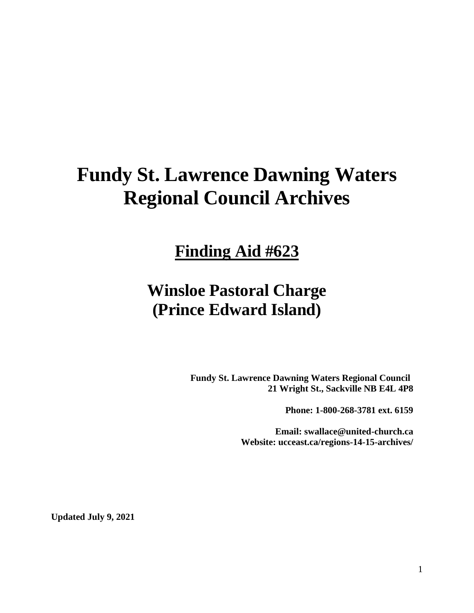# **Fundy St. Lawrence Dawning Waters Regional Council Archives**

## **Finding Aid #623**

## **Winsloe Pastoral Charge (Prince Edward Island)**

**Fundy St. Lawrence Dawning Waters Regional Council 21 Wright St., Sackville NB E4L 4P8**

**Phone: 1-800-268-3781 ext. 6159**

**Email: swallace@united-church.ca Website: ucceast.ca/regions-14-15-archives/**

**Updated July 9, 2021**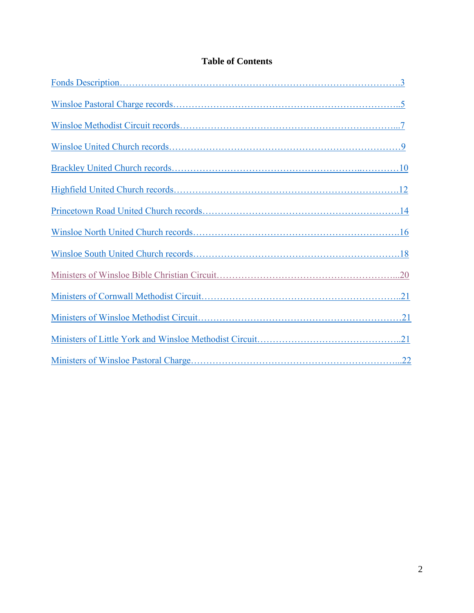## **Table of Contents**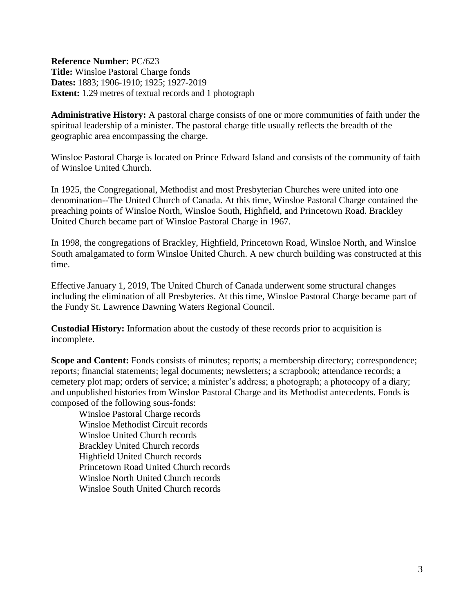<span id="page-2-0"></span>**Reference Number:** PC/623 **Title:** Winsloe Pastoral Charge fonds **Dates:** 1883; 1906-1910; 1925; 1927-2019 **Extent:** 1.29 metres of textual records and 1 photograph

**Administrative History:** A pastoral charge consists of one or more communities of faith under the spiritual leadership of a minister. The pastoral charge title usually reflects the breadth of the geographic area encompassing the charge.

Winsloe Pastoral Charge is located on Prince Edward Island and consists of the community of faith of Winsloe United Church.

In 1925, the Congregational, Methodist and most Presbyterian Churches were united into one denomination--The United Church of Canada. At this time, Winsloe Pastoral Charge contained the preaching points of Winsloe North, Winsloe South, Highfield, and Princetown Road. Brackley United Church became part of Winsloe Pastoral Charge in 1967.

In 1998, the congregations of Brackley, Highfield, Princetown Road, Winsloe North, and Winsloe South amalgamated to form Winsloe United Church. A new church building was constructed at this time.

Effective January 1, 2019, The United Church of Canada underwent some structural changes including the elimination of all Presbyteries. At this time, Winsloe Pastoral Charge became part of the Fundy St. Lawrence Dawning Waters Regional Council.

**Custodial History:** Information about the custody of these records prior to acquisition is incomplete.

**Scope and Content:** Fonds consists of minutes; reports; a membership directory; correspondence; reports; financial statements; legal documents; newsletters; a scrapbook; attendance records; a cemetery plot map; orders of service; a minister's address; a photograph; a photocopy of a diary; and unpublished histories from Winsloe Pastoral Charge and its Methodist antecedents. Fonds is composed of the following sous-fonds:

Winsloe Pastoral Charge records Winsloe Methodist Circuit records Winsloe United Church records Brackley United Church records Highfield United Church records Princetown Road United Church records Winsloe North United Church records Winsloe South United Church records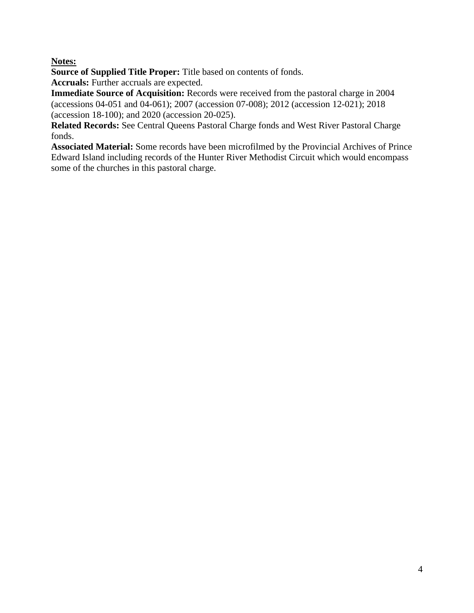## **Notes:**

**Source of Supplied Title Proper:** Title based on contents of fonds.

**Accruals:** Further accruals are expected.

**Immediate Source of Acquisition:** Records were received from the pastoral charge in 2004 (accessions 04-051 and 04-061); 2007 (accession 07-008); 2012 (accession 12-021); 2018 (accession 18-100); and 2020 (accession 20-025).

**Related Records:** See Central Queens Pastoral Charge fonds and West River Pastoral Charge fonds.

**Associated Material:** Some records have been microfilmed by the Provincial Archives of Prince Edward Island including records of the Hunter River Methodist Circuit which would encompass some of the churches in this pastoral charge.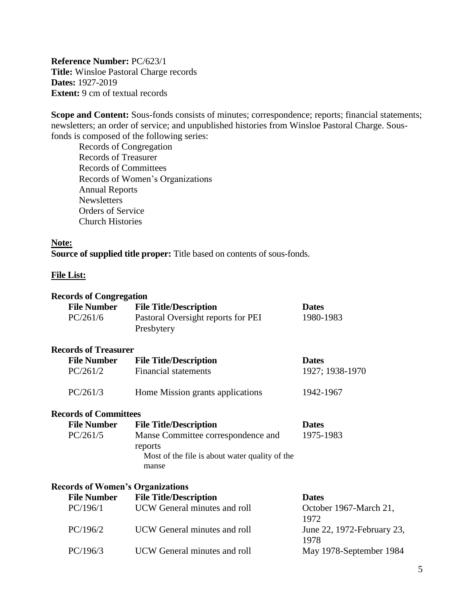<span id="page-4-0"></span>**Reference Number:** PC/623/1 **Title:** Winsloe Pastoral Charge records **Dates:** 1927-2019 **Extent:** 9 cm of textual records

**Scope and Content:** Sous-fonds consists of minutes; correspondence; reports; financial statements; newsletters; an order of service; and unpublished histories from Winsloe Pastoral Charge. Sousfonds is composed of the following series:

Records of Congregation Records of Treasurer Records of Committees Records of Women's Organizations Annual Reports **Newsletters** Orders of Service Church Histories

### **Note:**

**Source of supplied title proper:** Title based on contents of sous-fonds.

## **File List:**

#### **Records of Congregation**

| <b>File Title/Description</b><br><b>File Number</b>     | <b>Dates</b>                       |
|---------------------------------------------------------|------------------------------------|
| PC/261/6<br>Pastoral Oversight reports for PEI          | 1980-1983                          |
| Presbytery                                              |                                    |
| <b>Records of Treasurer</b>                             |                                    |
| <b>File Number</b><br><b>File Title/Description</b>     | <b>Dates</b>                       |
| PC/261/2<br><b>Financial statements</b>                 | 1927; 1938-1970                    |
| PC/261/3<br>Home Mission grants applications            | 1942-1967                          |
| <b>Records of Committees</b>                            |                                    |
| <b>File Number</b><br><b>File Title/Description</b>     | <b>Dates</b>                       |
| PC/261/5<br>Manse Committee correspondence and          | 1975-1983                          |
| reports                                                 |                                    |
| Most of the file is about water quality of the<br>manse |                                    |
| <b>Records of Women's Organizations</b>                 |                                    |
| <b>File Number</b><br><b>File Title/Description</b>     | <b>Dates</b>                       |
| UCW General minutes and roll<br>PC/196/1                | October 1967-March 21,<br>1972     |
| <b>UCW</b> General minutes and roll<br>PC/196/2         | June 22, 1972-February 23,<br>1978 |
| PC/196/3<br><b>UCW</b> General minutes and roll         | May 1978-September 1984            |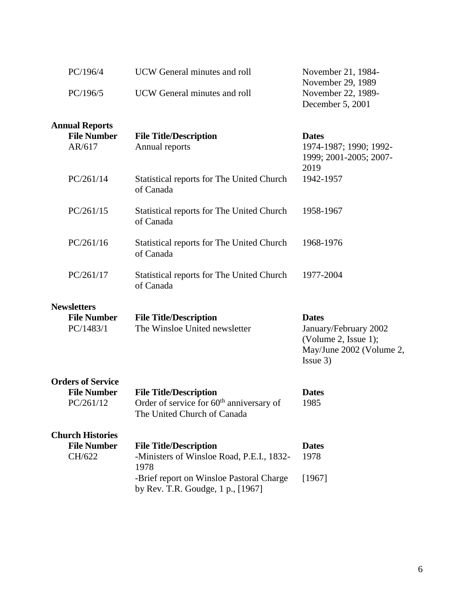| PC/196/4                                              | UCW General minutes and roll                                                                                         | November 21, 1984-<br>November 29, 1989                                                                |
|-------------------------------------------------------|----------------------------------------------------------------------------------------------------------------------|--------------------------------------------------------------------------------------------------------|
| PC/196/5                                              | UCW General minutes and roll                                                                                         | November 22, 1989-<br>December 5, 2001                                                                 |
| <b>Annual Reports</b><br><b>File Number</b><br>AR/617 | <b>File Title/Description</b><br>Annual reports                                                                      | <b>Dates</b><br>1974-1987; 1990; 1992-<br>1999; 2001-2005; 2007-<br>2019                               |
| PC/261/14                                             | <b>Statistical reports for The United Church</b><br>of Canada                                                        | 1942-1957                                                                                              |
| PC/261/15                                             | <b>Statistical reports for The United Church</b><br>of Canada                                                        | 1958-1967                                                                                              |
| PC/261/16                                             | Statistical reports for The United Church<br>of Canada                                                               | 1968-1976                                                                                              |
| PC/261/17                                             | Statistical reports for The United Church<br>of Canada                                                               | 1977-2004                                                                                              |
| <b>Newsletters</b><br><b>File Number</b><br>PC/1483/1 | <b>File Title/Description</b><br>The Winsloe United newsletter                                                       | <b>Dates</b><br>January/February 2002<br>(Volume 2, Issue 1);<br>May/June 2002 (Volume 2,<br>Is sue 3) |
| <b>Orders of Service</b>                              |                                                                                                                      |                                                                                                        |
| <b>File Number</b><br>PC/261/12                       | <b>File Title/Description</b><br>Order of service for 60 <sup>th</sup> anniversary of<br>The United Church of Canada | <b>Dates</b><br>1985                                                                                   |
| <b>Church Histories</b>                               |                                                                                                                      |                                                                                                        |
| <b>File Number</b><br>CH/622                          | <b>File Title/Description</b><br>-Ministers of Winsloe Road, P.E.I., 1832-<br>1978                                   | <b>Dates</b><br>1978                                                                                   |
|                                                       | -Brief report on Winsloe Pastoral Charge<br>by Rev. T.R. Goudge, 1 p., [1967]                                        | [1967]                                                                                                 |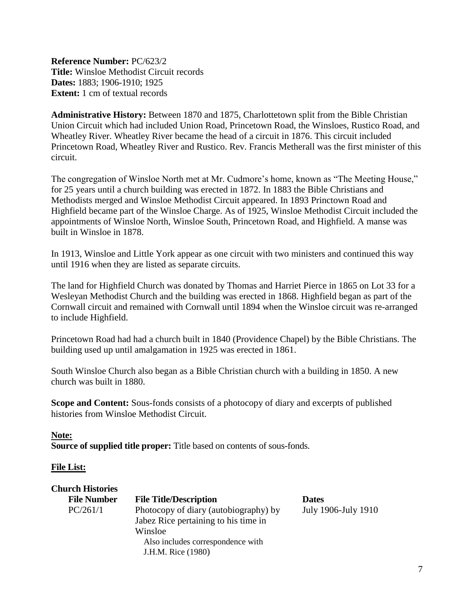<span id="page-6-0"></span>**Reference Number:** PC/623/2 **Title:** Winsloe Methodist Circuit records **Dates:** 1883; 1906-1910; 1925 **Extent:** 1 cm of textual records

**Administrative History:** Between 1870 and 1875, Charlottetown split from the Bible Christian Union Circuit which had included Union Road, Princetown Road, the Winsloes, Rustico Road, and Wheatley River. Wheatley River became the head of a circuit in 1876. This circuit included Princetown Road, Wheatley River and Rustico. Rev. Francis Metherall was the first minister of this circuit.

The congregation of Winsloe North met at Mr. Cudmore's home, known as "The Meeting House," for 25 years until a church building was erected in 1872. In 1883 the Bible Christians and Methodists merged and Winsloe Methodist Circuit appeared. In 1893 Princtown Road and Highfield became part of the Winsloe Charge. As of 1925, Winsloe Methodist Circuit included the appointments of Winsloe North, Winsloe South, Princetown Road, and Highfield. A manse was built in Winsloe in 1878.

In 1913, Winsloe and Little York appear as one circuit with two ministers and continued this way until 1916 when they are listed as separate circuits.

The land for Highfield Church was donated by Thomas and Harriet Pierce in 1865 on Lot 33 for a Wesleyan Methodist Church and the building was erected in 1868. Highfield began as part of the Cornwall circuit and remained with Cornwall until 1894 when the Winsloe circuit was re-arranged to include Highfield.

Princetown Road had had a church built in 1840 (Providence Chapel) by the Bible Christians. The building used up until amalgamation in 1925 was erected in 1861.

South Winsloe Church also began as a Bible Christian church with a building in 1850. A new church was built in 1880.

**Scope and Content:** Sous-fonds consists of a photocopy of diary and excerpts of published histories from Winsloe Methodist Circuit.

## **Note:**

**Source of supplied title proper:** Title based on contents of sous-fonds.

| <b>Church Histories</b> |                                                                               |                     |
|-------------------------|-------------------------------------------------------------------------------|---------------------|
| <b>File Number</b>      | <b>File Title/Description</b>                                                 | <b>Dates</b>        |
| PC/261/1                | Photocopy of diary (autobiography) by<br>Jabez Rice pertaining to his time in | July 1906-July 1910 |
|                         | Winsloe                                                                       |                     |
|                         | Also includes correspondence with                                             |                     |
|                         | J.H.M. Rice (1980)                                                            |                     |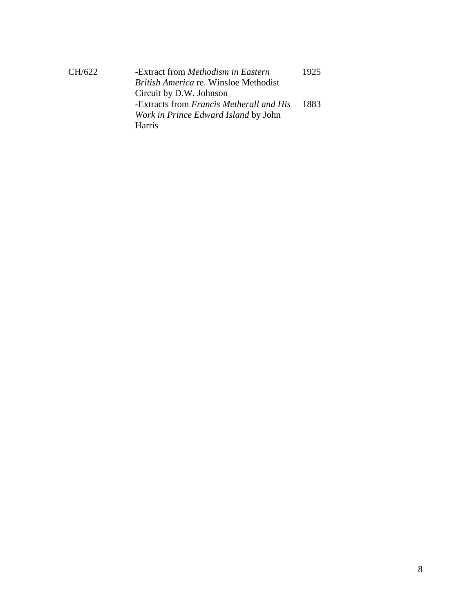| CH/622 | -Extract from <i>Methodism in Eastern</i>    | 1925 |
|--------|----------------------------------------------|------|
|        | <i>British America</i> re. Winsloe Methodist |      |
|        | Circuit by D.W. Johnson                      |      |
|        | -Extracts from Francis Metherall and His     | 1883 |
|        | Work in Prince Edward Island by John         |      |
|        | Harris                                       |      |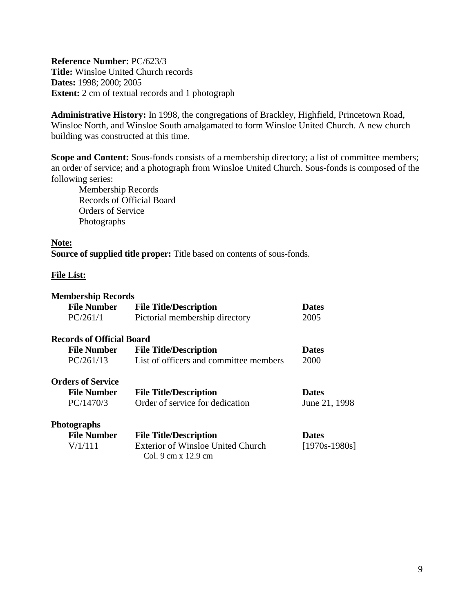<span id="page-8-0"></span>**Reference Number:** PC/623/3 **Title:** Winsloe United Church records **Dates:** 1998; 2000; 2005 **Extent:** 2 cm of textual records and 1 photograph

**Administrative History:** In 1998, the congregations of Brackley, Highfield, Princetown Road, Winsloe North, and Winsloe South amalgamated to form Winsloe United Church. A new church building was constructed at this time.

**Scope and Content:** Sous-fonds consists of a membership directory; a list of committee members; an order of service; and a photograph from Winsloe United Church. Sous-fonds is composed of the following series:

Membership Records Records of Official Board Orders of Service Photographs

## **Note:**

**Source of supplied title proper:** Title based on contents of sous-fonds.

| <b>Membership Records</b>        |                                                                 |                 |
|----------------------------------|-----------------------------------------------------------------|-----------------|
| <b>File Number</b>               | <b>File Title/Description</b>                                   | <b>Dates</b>    |
| PC/261/1                         | Pictorial membership directory                                  | 2005            |
| <b>Records of Official Board</b> |                                                                 |                 |
| <b>File Number</b>               | <b>File Title/Description</b>                                   | <b>Dates</b>    |
| PC/261/13                        | List of officers and committee members                          | 2000            |
| <b>Orders of Service</b>         |                                                                 |                 |
| <b>File Number</b>               | <b>File Title/Description</b>                                   | <b>Dates</b>    |
| PC/1470/3                        | Order of service for dedication                                 | June 21, 1998   |
| <b>Photographs</b>               |                                                                 |                 |
| <b>File Number</b>               | <b>File Title/Description</b>                                   | <b>Dates</b>    |
| V/1/111                          | <b>Exterior of Winsloe United Church</b><br>Col. 9 cm x 12.9 cm | $[1970s-1980s]$ |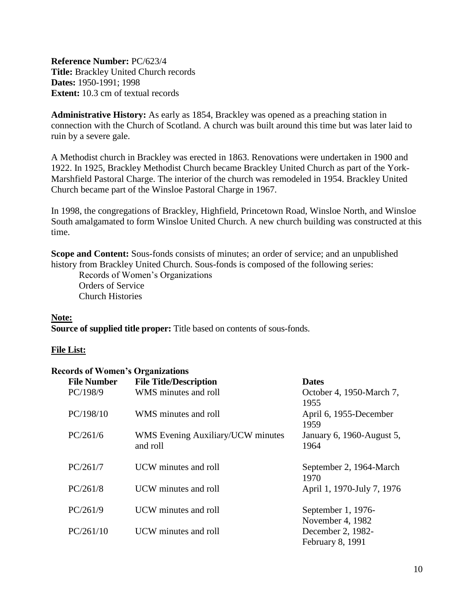<span id="page-9-0"></span>**Reference Number:** PC/623/4 **Title:** Brackley United Church records **Dates:** 1950-1991; 1998 **Extent:** 10.3 cm of textual records

**Administrative History:** As early as 1854, Brackley was opened as a preaching station in connection with the Church of Scotland. A church was built around this time but was later laid to ruin by a severe gale.

A Methodist church in Brackley was erected in 1863. Renovations were undertaken in 1900 and 1922. In 1925, Brackley Methodist Church became Brackley United Church as part of the York-Marshfield Pastoral Charge. The interior of the church was remodeled in 1954. Brackley United Church became part of the Winsloe Pastoral Charge in 1967.

In 1998, the congregations of Brackley, Highfield, Princetown Road, Winsloe North, and Winsloe South amalgamated to form Winsloe United Church. A new church building was constructed at this time.

**Scope and Content:** Sous-fonds consists of minutes; an order of service; and an unpublished history from Brackley United Church. Sous-fonds is composed of the following series:

Records of Women's Organizations Orders of Service Church Histories

## **Note:**

**Source of supplied title proper:** Title based on contents of sous-fonds.

## **File List:**

#### **Records of Women's Organizations**

| <b>File Number</b> | <b>File Title/Description</b>                 | <b>Dates</b>                           |
|--------------------|-----------------------------------------------|----------------------------------------|
| PC/198/9           | WMS minutes and roll                          | October 4, 1950-March 7,<br>1955       |
| PC/198/10          | WMS minutes and roll                          | April 6, 1955-December<br>1959         |
| PC/261/6           | WMS Evening Auxiliary/UCW minutes<br>and roll | January 6, 1960-August 5,<br>1964      |
| PC/261/7           | UCW minutes and roll                          | September 2, 1964-March<br>1970        |
| PC/261/8           | UCW minutes and roll                          | April 1, 1970-July 7, 1976             |
| PC/261/9           | UCW minutes and roll                          | September 1, 1976-<br>November 4, 1982 |
| PC/261/10          | UCW minutes and roll                          | December 2, 1982-<br>February 8, 1991  |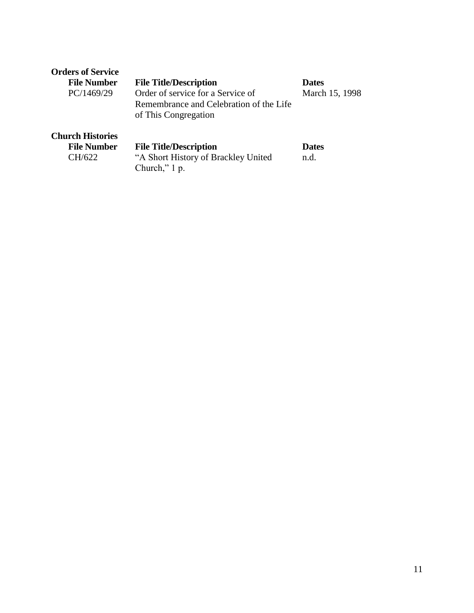| <b>Orders of Service</b> |                                                                                                      |                |
|--------------------------|------------------------------------------------------------------------------------------------------|----------------|
| <b>File Number</b>       | <b>File Title/Description</b>                                                                        | <b>Dates</b>   |
| PC/1469/29               | Order of service for a Service of<br>Remembrance and Celebration of the Life<br>of This Congregation | March 15, 1998 |
| $\Gamma$ <sub>1</sub>    |                                                                                                      |                |

### **Church Histories File Num**

| <b>File Number</b> | <b>File Title/Description</b>       | <b>Dates</b> |
|--------------------|-------------------------------------|--------------|
| CH/622             | "A Short History of Brackley United | n.d.         |
|                    | Church," $1 p.$                     |              |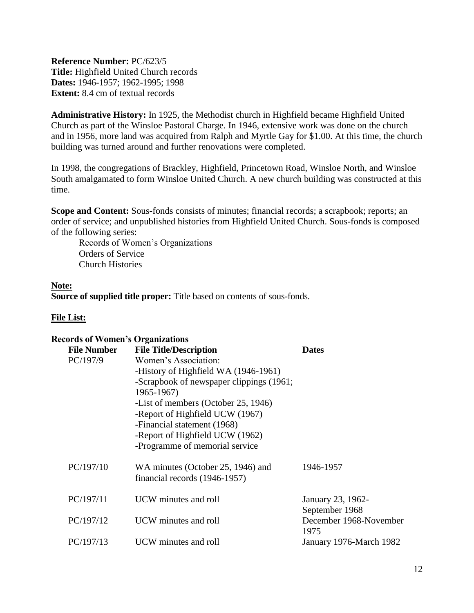<span id="page-11-0"></span>**Reference Number:** PC/623/5 **Title:** Highfield United Church records **Dates:** 1946-1957; 1962-1995; 1998 **Extent:** 8.4 cm of textual records

**Administrative History:** In 1925, the Methodist church in Highfield became Highfield United Church as part of the Winsloe Pastoral Charge. In 1946, extensive work was done on the church and in 1956, more land was acquired from Ralph and Myrtle Gay for \$1.00. At this time, the church building was turned around and further renovations were completed.

In 1998, the congregations of Brackley, Highfield, Princetown Road, Winsloe North, and Winsloe South amalgamated to form Winsloe United Church. A new church building was constructed at this time.

**Scope and Content:** Sous-fonds consists of minutes; financial records; a scrapbook; reports; an order of service; and unpublished histories from Highfield United Church. Sous-fonds is composed of the following series:

Records of Women's Organizations Orders of Service Church Histories

## **Note:**

**Source of supplied title proper:** Title based on contents of sous-fonds.

## **File List:**

#### **Records of Women's Organizations**

| <b>File Number</b><br>PC/197/9 | <b>File Title/Description</b><br>Women's Association:<br>-History of Highfield WA (1946-1961)<br>-Scrapbook of newspaper clippings (1961;<br>1965-1967)<br>-List of members (October 25, 1946)<br>-Report of Highfield UCW (1967)<br>-Financial statement (1968)<br>-Report of Highfield UCW (1962)<br>-Programme of memorial service | <b>Dates</b>                        |
|--------------------------------|---------------------------------------------------------------------------------------------------------------------------------------------------------------------------------------------------------------------------------------------------------------------------------------------------------------------------------------|-------------------------------------|
| PC/197/10                      | WA minutes (October 25, 1946) and<br>financial records (1946-1957)                                                                                                                                                                                                                                                                    | 1946-1957                           |
| PC/197/11                      | UCW minutes and roll                                                                                                                                                                                                                                                                                                                  | January 23, 1962-<br>September 1968 |
| PC/197/12                      | UCW minutes and roll                                                                                                                                                                                                                                                                                                                  | December 1968-November<br>1975      |
| PC/197/13                      | UCW minutes and roll                                                                                                                                                                                                                                                                                                                  | January 1976-March 1982             |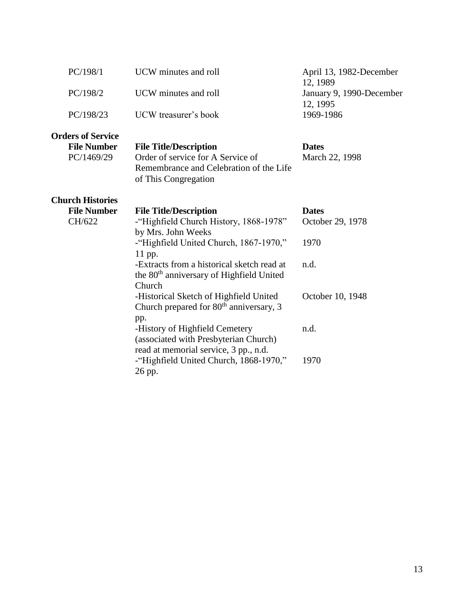| PC/198/1                          |                                  | UCW minutes and roll                                                                                                                                                                                                                                    | April 13, 1982-December<br>12, 1989              |
|-----------------------------------|----------------------------------|---------------------------------------------------------------------------------------------------------------------------------------------------------------------------------------------------------------------------------------------------------|--------------------------------------------------|
| PC/198/2                          |                                  | UCW minutes and roll                                                                                                                                                                                                                                    | January 9, 1990-December<br>12, 1995             |
|                                   | PC/198/23                        | UCW treasurer's book                                                                                                                                                                                                                                    | 1969-1986                                        |
| <b>Orders of Service</b>          | <b>File Number</b><br>PC/1469/29 | <b>File Title/Description</b><br>Order of service for A Service of<br>Remembrance and Celebration of the Life<br>of This Congregation                                                                                                                   | <b>Dates</b><br>March 22, 1998                   |
| <b>Church Histories</b><br>CH/622 | <b>File Number</b>               | <b>File Title/Description</b><br>-"Highfield Church History, 1868-1978"<br>by Mrs. John Weeks<br>-"Highfield United Church, 1867-1970,"<br>11 pp.<br>-Extracts from a historical sketch read at<br>the 80 <sup>th</sup> anniversary of Highfield United | <b>Dates</b><br>October 29, 1978<br>1970<br>n.d. |
|                                   |                                  | Church<br>-Historical Sketch of Highfield United<br>Church prepared for 80 <sup>th</sup> anniversary, 3<br>pp.                                                                                                                                          | October 10, 1948                                 |
|                                   |                                  | -History of Highfield Cemetery<br>(associated with Presbyterian Church)<br>read at memorial service, 3 pp., n.d.                                                                                                                                        | n.d.                                             |
|                                   |                                  | -"Highfield United Church, 1868-1970,"<br>26 pp.                                                                                                                                                                                                        | 1970                                             |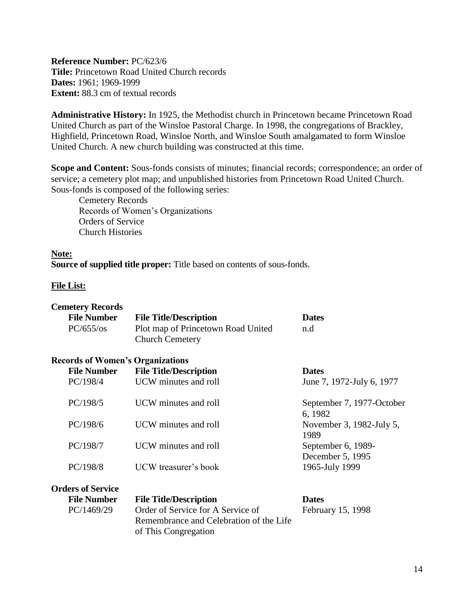<span id="page-13-0"></span>**Reference Number:** PC/623/6 **Title:** Princetown Road United Church records **Dates:** 1961; 1969-1999 **Extent:** 88.3 cm of textual records

**Administrative History:** In 1925, the Methodist church in Princetown became Princetown Road United Church as part of the Winsloe Pastoral Charge. In 1998, the congregations of Brackley, Highfield, Princetown Road, Winsloe North, and Winsloe South amalgamated to form Winsloe United Church. A new church building was constructed at this time.

**Scope and Content:** Sous-fonds consists of minutes; financial records; correspondence; an order of service; a cemetery plot map; and unpublished histories from Princetown Road United Church. Sous-fonds is composed of the following series:

Cemetery Records Records of Women's Organizations Orders of Service Church Histories

## **Note:**

**Source of supplied title proper:** Title based on contents of sous-fonds.

| <b>Cemetery Records</b><br><b>File Number</b><br>$PC/655/\text{os}$ | <b>File Title/Description</b><br>Plot map of Princetown Road United<br><b>Church Cemetery</b>        | <b>Dates</b><br>n.d                    |
|---------------------------------------------------------------------|------------------------------------------------------------------------------------------------------|----------------------------------------|
| <b>Records of Women's Organizations</b>                             |                                                                                                      |                                        |
| <b>File Number</b>                                                  | <b>File Title/Description</b>                                                                        | <b>Dates</b>                           |
| PC/198/4                                                            | UCW minutes and roll                                                                                 | June 7, 1972-July 6, 1977              |
| PC/198/5                                                            | UCW minutes and roll                                                                                 | September 7, 1977-October<br>6, 1982   |
| PC/198/6                                                            | UCW minutes and roll                                                                                 | November 3, 1982-July 5,<br>1989       |
| PC/198/7                                                            | UCW minutes and roll                                                                                 | September 6, 1989-<br>December 5, 1995 |
| PC/198/8                                                            | UCW treasurer's book                                                                                 | 1965-July 1999                         |
| <b>Orders of Service</b>                                            |                                                                                                      |                                        |
| <b>File Number</b>                                                  | <b>File Title/Description</b>                                                                        | <b>Dates</b>                           |
| PC/1469/29                                                          | Order of Service for A Service of<br>Remembrance and Celebration of the Life<br>of This Congregation | February 15, 1998                      |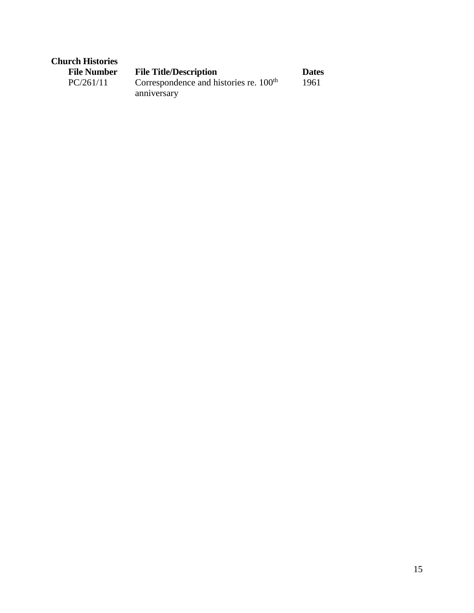| <b>Church Histories</b> |                                                    |              |
|-------------------------|----------------------------------------------------|--------------|
| <b>File Number</b>      | <b>File Title/Description</b>                      | <b>Dates</b> |
| PC/261/11               | Correspondence and histories re. 100 <sup>th</sup> | 1961         |
|                         | anniversary                                        |              |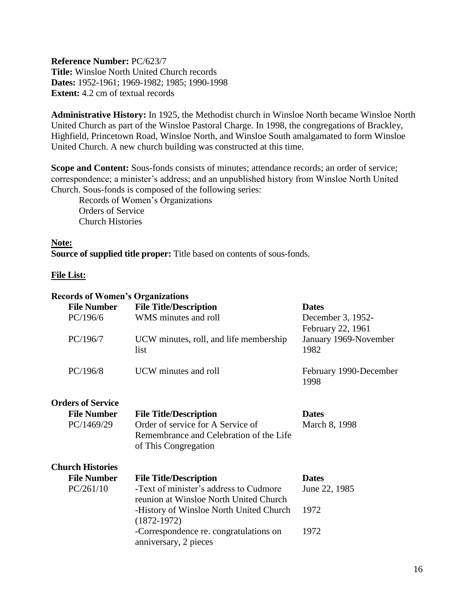<span id="page-15-0"></span>**Reference Number:** PC/623/7 **Title:** Winsloe North United Church records **Dates:** 1952-1961; 1969-1982; 1985; 1990-1998 **Extent:** 4.2 cm of textual records

**Administrative History:** In 1925, the Methodist church in Winsloe North became Winsloe North United Church as part of the Winsloe Pastoral Charge. In 1998, the congregations of Brackley, Highfield, Princetown Road, Winsloe North, and Winsloe South amalgamated to form Winsloe United Church. A new church building was constructed at this time.

**Scope and Content:** Sous-fonds consists of minutes; attendance records; an order of service; correspondence; a minister's address; and an unpublished history from Winsloe North United Church. Sous-fonds is composed of the following series:

Records of Women's Organizations Orders of Service Church Histories

## **Note: Source of supplied title proper:** Title based on contents of sous-fonds.

| <b>Records of Women's Organizations</b> |                                                                                                      |                                        |
|-----------------------------------------|------------------------------------------------------------------------------------------------------|----------------------------------------|
| <b>File Number</b>                      | <b>File Title/Description</b>                                                                        | <b>Dates</b>                           |
| PC/196/6                                | WMS minutes and roll                                                                                 | December 3, 1952-<br>February 22, 1961 |
| PC/196/7                                | UCW minutes, roll, and life membership<br>list                                                       | January 1969-November<br>1982          |
| PC/196/8                                | UCW minutes and roll                                                                                 | February 1990-December<br>1998         |
| <b>Orders of Service</b>                |                                                                                                      |                                        |
| <b>File Number</b>                      | <b>File Title/Description</b>                                                                        | <b>Dates</b>                           |
| PC/1469/29                              | Order of service for A Service of<br>Remembrance and Celebration of the Life<br>of This Congregation | March 8, 1998                          |
| <b>Church Histories</b>                 |                                                                                                      |                                        |
| <b>File Number</b>                      | <b>File Title/Description</b>                                                                        | <b>Dates</b>                           |
| PC/261/10                               | -Text of minister's address to Cudmore<br>reunion at Winsloe North United Church                     | June 22, 1985                          |
|                                         | -History of Winsloe North United Church<br>$(1872 - 1972)$                                           | 1972                                   |
|                                         | -Correspondence re. congratulations on<br>anniversary, 2 pieces                                      | 1972                                   |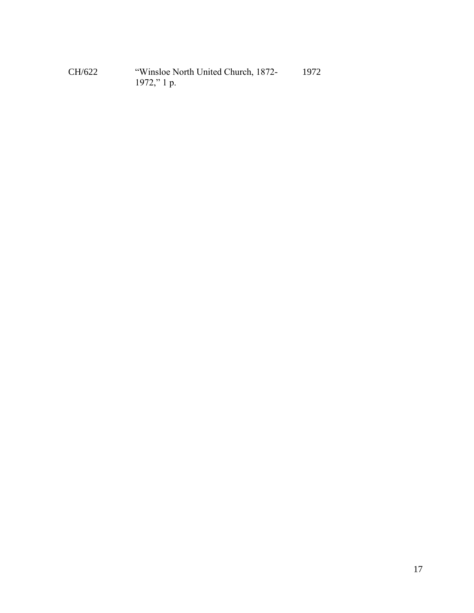| CH/622 | "Winsloe North United Church, 1872- | 1972 |
|--------|-------------------------------------|------|
|        | $1972$ ," 1 p.                      |      |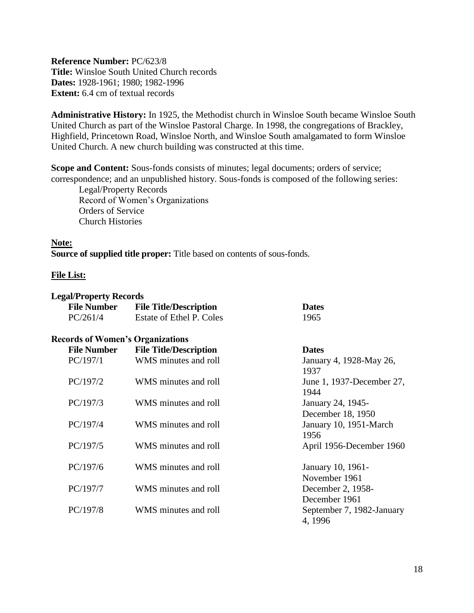<span id="page-17-0"></span>**Reference Number:** PC/623/8 **Title:** Winsloe South United Church records **Dates:** 1928-1961; 1980; 1982-1996 **Extent:** 6.4 cm of textual records

**Administrative History:** In 1925, the Methodist church in Winsloe South became Winsloe South United Church as part of the Winsloe Pastoral Charge. In 1998, the congregations of Brackley, Highfield, Princetown Road, Winsloe North, and Winsloe South amalgamated to form Winsloe United Church. A new church building was constructed at this time.

**Scope and Content:** Sous-fonds consists of minutes; legal documents; orders of service; correspondence; and an unpublished history. Sous-fonds is composed of the following series:

Legal/Property Records Record of Women's Organizations Orders of Service Church Histories

#### **Note:**

**Source of supplied title proper:** Title based on contents of sous-fonds.

#### **File List:**

| <b>Legal/Property Records</b>           |                               |                                        |  |  |  |
|-----------------------------------------|-------------------------------|----------------------------------------|--|--|--|
| <b>File Number</b>                      | <b>File Title/Description</b> | <b>Dates</b>                           |  |  |  |
| PC/261/4                                | Estate of Ethel P. Coles      | 1965                                   |  |  |  |
| <b>Records of Women's Organizations</b> |                               |                                        |  |  |  |
| <b>File Number</b>                      | <b>File Title/Description</b> | <b>Dates</b>                           |  |  |  |
| PC/197/1                                | WMS minutes and roll          | January 4, 1928-May 26,<br>1937        |  |  |  |
| PC/197/2                                | WMS minutes and roll          | June 1, 1937-December 27,<br>1944      |  |  |  |
| PC/197/3                                | WMS minutes and roll          | January 24, 1945-<br>December 18, 1950 |  |  |  |
| PC/197/4                                | WMS minutes and roll          | January 10, 1951-March<br>1956         |  |  |  |
| PC/197/5                                | WMS minutes and roll          | April 1956-December 1960               |  |  |  |
| PC/197/6                                | WMS minutes and roll          | January 10, 1961-                      |  |  |  |
|                                         |                               | November 1961                          |  |  |  |
| PC/197/7                                | WMS minutes and roll          | December 2, 1958-                      |  |  |  |
|                                         |                               | December 1961                          |  |  |  |
| PC/197/8                                | WMS minutes and roll          | September 7, 1982-January              |  |  |  |

4, 1996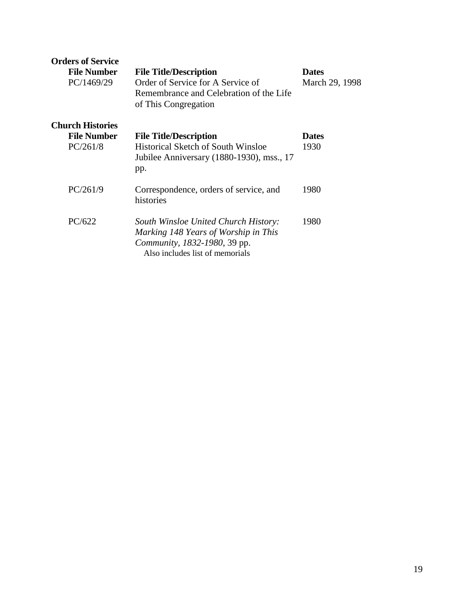| <b>Orders of Service</b> |                                                                                                                                                 |                |
|--------------------------|-------------------------------------------------------------------------------------------------------------------------------------------------|----------------|
| <b>File Number</b>       | <b>File Title/Description</b>                                                                                                                   | <b>Dates</b>   |
| PC/1469/29               | Order of Service for A Service of<br>Remembrance and Celebration of the Life<br>of This Congregation                                            | March 29, 1998 |
| <b>Church Histories</b>  |                                                                                                                                                 |                |
| <b>File Number</b>       | <b>File Title/Description</b>                                                                                                                   | <b>Dates</b>   |
| PC/261/8                 | <b>Historical Sketch of South Winsloe</b><br>Jubilee Anniversary (1880-1930), mss., 17<br>pp.                                                   | 1930           |
| PC/261/9                 | Correspondence, orders of service, and<br>histories                                                                                             | 1980           |
| PC/622                   | South Winsloe United Church History:<br>Marking 148 Years of Worship in This<br>Community, 1832-1980, 39 pp.<br>Also includes list of memorials | 1980           |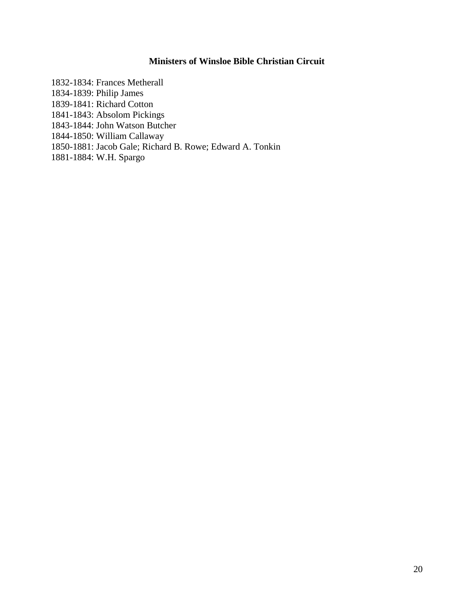## **Ministers of Winsloe Bible Christian Circuit**

<span id="page-19-0"></span>1832-1834: Frances Metherall 1834-1839: Philip James 1839-1841: Richard Cotton 1841-1843: Absolom Pickings 1843-1844: John Watson Butcher 1844-1850: William Callaway 1850-1881: Jacob Gale; Richard B. Rowe; Edward A. Tonkin 1881-1884: W.H. Spargo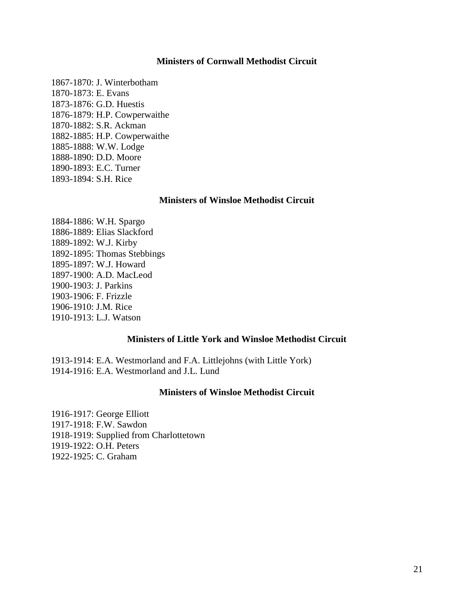### **Ministers of Cornwall Methodist Circuit**

<span id="page-20-0"></span>1867-1870: J. Winterbotham 1870-1873: E. Evans 1873-1876: G.D. Huestis 1876-1879: H.P. Cowperwaithe 1870-1882: S.R. Ackman 1882-1885: H.P. Cowperwaithe 1885-1888: W.W. Lodge 1888-1890: D.D. Moore 1890-1893: E.C. Turner 1893-1894: S.H. Rice

#### **Ministers of Winsloe Methodist Circuit**

<span id="page-20-1"></span>1884-1886: W.H. Spargo 1886-1889: Elias Slackford 1889-1892: W.J. Kirby 1892-1895: Thomas Stebbings 1895-1897: W.J. Howard 1897-1900: A.D. MacLeod 1900-1903: J. Parkins 1903-1906: F. Frizzle 1906-1910: J.M. Rice 1910-1913: L.J. Watson

## **Ministers of Little York and Winsloe Methodist Circuit**

<span id="page-20-2"></span>1913-1914: E.A. Westmorland and F.A. Littlejohns (with Little York) 1914-1916: E.A. Westmorland and J.L. Lund

#### **Ministers of Winsloe Methodist Circuit**

1916-1917: George Elliott 1917-1918: F.W. Sawdon 1918-1919: Supplied from Charlottetown 1919-1922: O.H. Peters 1922-1925: C. Graham